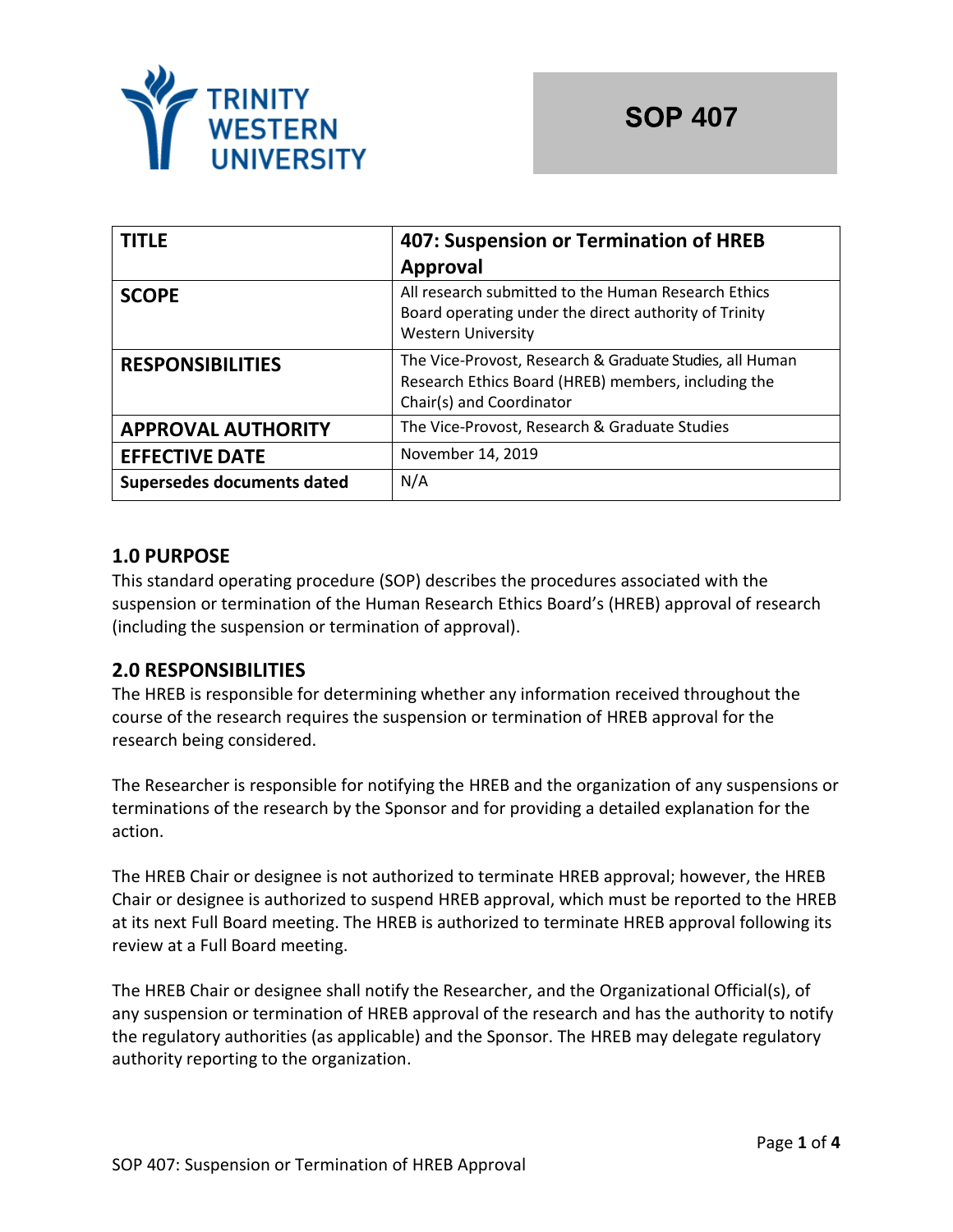

| <b>TITLE</b>               | 407: Suspension or Termination of HREB<br><b>Approval</b>                                                                                   |
|----------------------------|---------------------------------------------------------------------------------------------------------------------------------------------|
| <b>SCOPE</b>               | All research submitted to the Human Research Ethics<br>Board operating under the direct authority of Trinity<br><b>Western University</b>   |
| <b>RESPONSIBILITIES</b>    | The Vice-Provost, Research & Graduate Studies, all Human<br>Research Ethics Board (HREB) members, including the<br>Chair(s) and Coordinator |
| <b>APPROVAL AUTHORITY</b>  | The Vice-Provost, Research & Graduate Studies                                                                                               |
| <b>EFFECTIVE DATE</b>      | November 14, 2019                                                                                                                           |
| Supersedes documents dated | N/A                                                                                                                                         |

## **1.0 PURPOSE**

This standard operating procedure (SOP) describes the procedures associated with the suspension or termination of the Human Research Ethics Board's (HREB) approval of research (including the suspension or termination of approval).

# **2.0 RESPONSIBILITIES**

The HREB is responsible for determining whether any information received throughout the course of the research requires the suspension or termination of HREB approval for the research being considered.

The Researcher is responsible for notifying the HREB and the organization of any suspensions or terminations of the research by the Sponsor and for providing a detailed explanation for the action.

The HREB Chair or designee is not authorized to terminate HREB approval; however, the HREB Chair or designee is authorized to suspend HREB approval, which must be reported to the HREB at its next Full Board meeting. The HREB is authorized to terminate HREB approval following its review at a Full Board meeting.

The HREB Chair or designee shall notify the Researcher, and the Organizational Official(s), of any suspension or termination of HREB approval of the research and has the authority to notify the regulatory authorities (as applicable) and the Sponsor. The HREB may delegate regulatory authority reporting to the organization.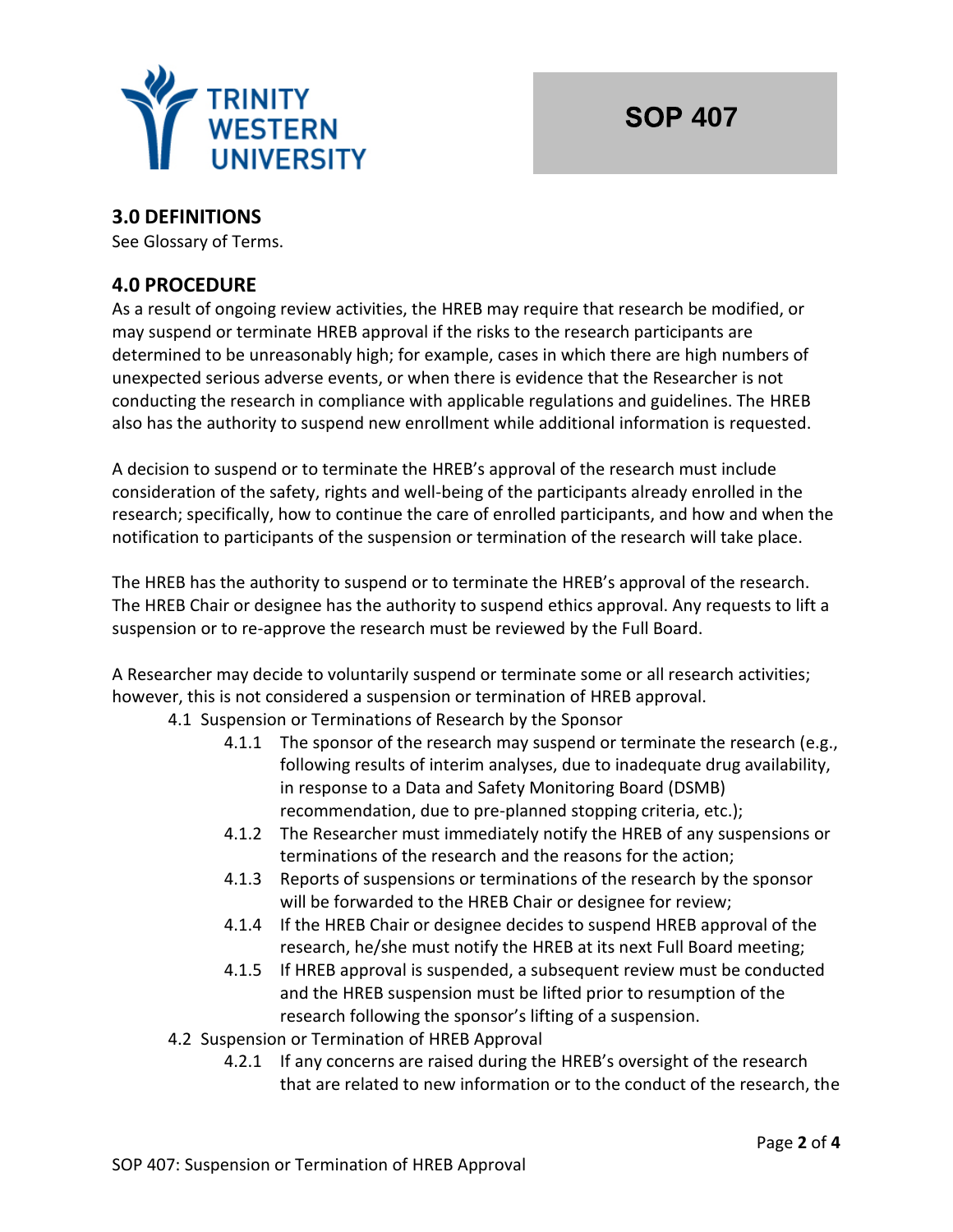

# **3.0 DEFINITIONS**

See Glossary of Terms.

## **4.0 PROCEDURE**

As a result of ongoing review activities, the HREB may require that research be modified, or may suspend or terminate HREB approval if the risks to the research participants are determined to be unreasonably high; for example, cases in which there are high numbers of unexpected serious adverse events, or when there is evidence that the Researcher is not conducting the research in compliance with applicable regulations and guidelines. The HREB also has the authority to suspend new enrollment while additional information is requested.

A decision to suspend or to terminate the HREB's approval of the research must include consideration of the safety, rights and well-being of the participants already enrolled in the research; specifically, how to continue the care of enrolled participants, and how and when the notification to participants of the suspension or termination of the research will take place.

The HREB has the authority to suspend or to terminate the HREB's approval of the research. The HREB Chair or designee has the authority to suspend ethics approval. Any requests to lift a suspension or to re-approve the research must be reviewed by the Full Board.

A Researcher may decide to voluntarily suspend or terminate some or all research activities; however, this is not considered a suspension or termination of HREB approval.

- 4.1 Suspension or Terminations of Research by the Sponsor
	- 4.1.1 The sponsor of the research may suspend or terminate the research (e.g., following results of interim analyses, due to inadequate drug availability, in response to a Data and Safety Monitoring Board (DSMB) recommendation, due to pre-planned stopping criteria, etc.);
	- 4.1.2 The Researcher must immediately notify the HREB of any suspensions or terminations of the research and the reasons for the action;
	- 4.1.3 Reports of suspensions or terminations of the research by the sponsor will be forwarded to the HREB Chair or designee for review;
	- 4.1.4 If the HREB Chair or designee decides to suspend HREB approval of the research, he/she must notify the HREB at its next Full Board meeting;
	- 4.1.5 If HREB approval is suspended, a subsequent review must be conducted and the HREB suspension must be lifted prior to resumption of the research following the sponsor's lifting of a suspension.
- 4.2 Suspension or Termination of HREB Approval
	- 4.2.1 If any concerns are raised during the HREB's oversight of the research that are related to new information or to the conduct of the research, the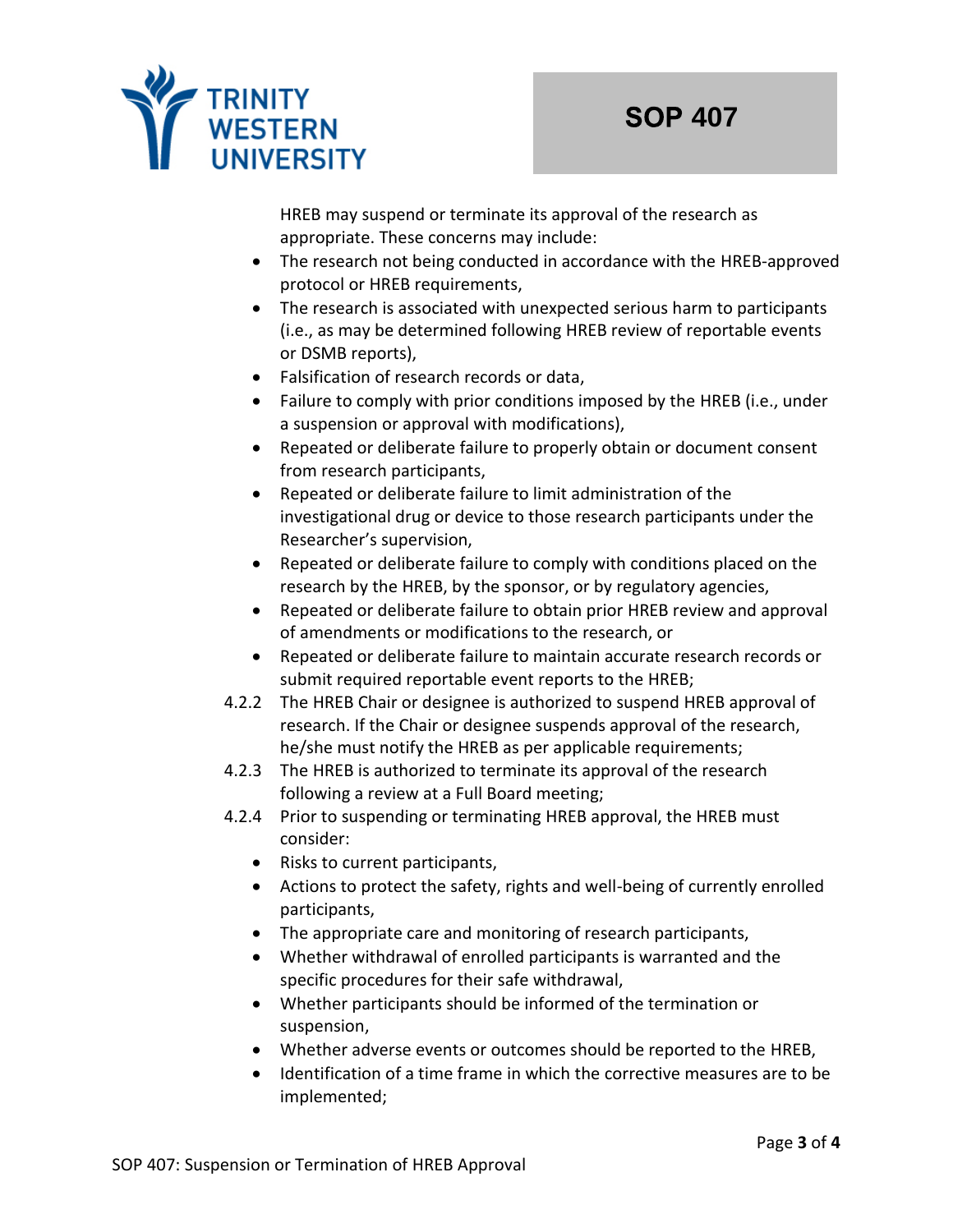

HREB may suspend or terminate its approval of the research as appropriate. These concerns may include:

- The research not being conducted in accordance with the HREB-approved protocol or HREB requirements,
- The research is associated with unexpected serious harm to participants (i.e., as may be determined following HREB review of reportable events or DSMB reports),
- Falsification of research records or data,
- Failure to comply with prior conditions imposed by the HREB (i.e., under a suspension or approval with modifications),
- Repeated or deliberate failure to properly obtain or document consent from research participants,
- Repeated or deliberate failure to limit administration of the investigational drug or device to those research participants under the Researcher's supervision,
- Repeated or deliberate failure to comply with conditions placed on the research by the HREB, by the sponsor, or by regulatory agencies,
- Repeated or deliberate failure to obtain prior HREB review and approval of amendments or modifications to the research, or
- Repeated or deliberate failure to maintain accurate research records or submit required reportable event reports to the HREB;
- 4.2.2 The HREB Chair or designee is authorized to suspend HREB approval of research. If the Chair or designee suspends approval of the research, he/she must notify the HREB as per applicable requirements;
- 4.2.3 The HREB is authorized to terminate its approval of the research following a review at a Full Board meeting;
- 4.2.4 Prior to suspending or terminating HREB approval, the HREB must consider:
	- Risks to current participants,
	- Actions to protect the safety, rights and well-being of currently enrolled participants,
	- The appropriate care and monitoring of research participants,
	- Whether withdrawal of enrolled participants is warranted and the specific procedures for their safe withdrawal,
	- Whether participants should be informed of the termination or suspension,
	- Whether adverse events or outcomes should be reported to the HREB,
	- Identification of a time frame in which the corrective measures are to be implemented;